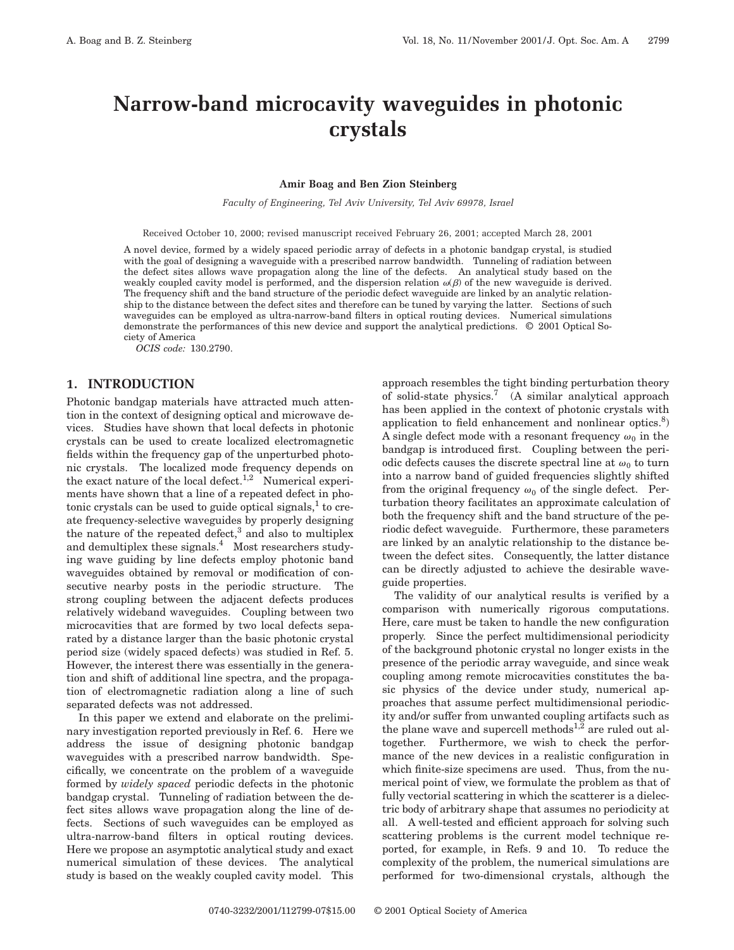# **Narrow-band microcavity waveguides in photonic crystals**

#### **Amir Boag and Ben Zion Steinberg**

*Faculty of Engineering, Tel Aviv University, Tel Aviv 69978, Israel*

Received October 10, 2000; revised manuscript received February 26, 2001; accepted March 28, 2001

A novel device, formed by a widely spaced periodic array of defects in a photonic bandgap crystal, is studied with the goal of designing a waveguide with a prescribed narrow bandwidth. Tunneling of radiation between the defect sites allows wave propagation along the line of the defects. An analytical study based on the weakly coupled cavity model is performed, and the dispersion relation  $\omega(\beta)$  of the new waveguide is derived. The frequency shift and the band structure of the periodic defect waveguide are linked by an analytic relationship to the distance between the defect sites and therefore can be tuned by varying the latter. Sections of such waveguides can be employed as ultra-narrow-band filters in optical routing devices. Numerical simulations demonstrate the performances of this new device and support the analytical predictions. © 2001 Optical Society of America

*OCIS code:* 130.2790.

## **1. INTRODUCTION**

Photonic bandgap materials have attracted much attention in the context of designing optical and microwave devices. Studies have shown that local defects in photonic crystals can be used to create localized electromagnetic fields within the frequency gap of the unperturbed photonic crystals. The localized mode frequency depends on the exact nature of the local defect.<sup>1,2</sup> Numerical experiments have shown that a line of a repeated defect in photonic crystals can be used to guide optical signals, $<sup>1</sup>$  to cre-</sup> ate frequency-selective waveguides by properly designing the nature of the repeated defect, $3$  and also to multiplex and demultiplex these signals.<sup>4</sup> Most researchers studying wave guiding by line defects employ photonic band waveguides obtained by removal or modification of consecutive nearby posts in the periodic structure. The strong coupling between the adjacent defects produces relatively wideband waveguides. Coupling between two microcavities that are formed by two local defects separated by a distance larger than the basic photonic crystal period size (widely spaced defects) was studied in Ref. 5. However, the interest there was essentially in the generation and shift of additional line spectra, and the propagation of electromagnetic radiation along a line of such separated defects was not addressed.

In this paper we extend and elaborate on the preliminary investigation reported previously in Ref. 6. Here we address the issue of designing photonic bandgap waveguides with a prescribed narrow bandwidth. Specifically, we concentrate on the problem of a waveguide formed by *widely spaced* periodic defects in the photonic bandgap crystal. Tunneling of radiation between the defect sites allows wave propagation along the line of defects. Sections of such waveguides can be employed as ultra-narrow-band filters in optical routing devices. Here we propose an asymptotic analytical study and exact numerical simulation of these devices. The analytical study is based on the weakly coupled cavity model. This

approach resembles the tight binding perturbation theory of solid-state physics.<sup>7</sup> (A similar analytical approach has been applied in the context of photonic crystals with application to field enhancement and nonlinear optics. $8$ ) A single defect mode with a resonant frequency  $\omega_0$  in the bandgap is introduced first. Coupling between the periodic defects causes the discrete spectral line at  $\omega_0$  to turn into a narrow band of guided frequencies slightly shifted from the original frequency  $\omega_0$  of the single defect. Perturbation theory facilitates an approximate calculation of both the frequency shift and the band structure of the periodic defect waveguide. Furthermore, these parameters are linked by an analytic relationship to the distance between the defect sites. Consequently, the latter distance can be directly adjusted to achieve the desirable waveguide properties.

The validity of our analytical results is verified by a comparison with numerically rigorous computations. Here, care must be taken to handle the new configuration properly. Since the perfect multidimensional periodicity of the background photonic crystal no longer exists in the presence of the periodic array waveguide, and since weak coupling among remote microcavities constitutes the basic physics of the device under study, numerical approaches that assume perfect multidimensional periodicity and/or suffer from unwanted coupling artifacts such as the plane wave and supercell methods<sup>1,2</sup> are ruled out altogether. Furthermore, we wish to check the performance of the new devices in a realistic configuration in which finite-size specimens are used. Thus, from the numerical point of view, we formulate the problem as that of fully vectorial scattering in which the scatterer is a dielectric body of arbitrary shape that assumes no periodicity at all. A well-tested and efficient approach for solving such scattering problems is the current model technique reported, for example, in Refs. 9 and 10. To reduce the complexity of the problem, the numerical simulations are performed for two-dimensional crystals, although the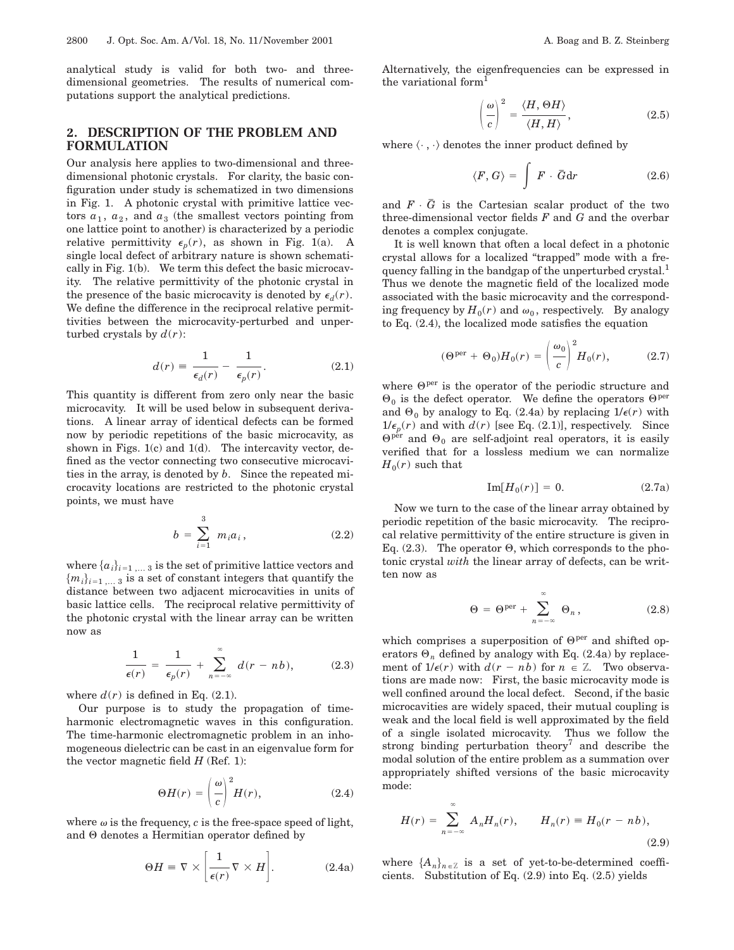analytical study is valid for both two- and threedimensional geometries. The results of numerical computations support the analytical predictions.

## **2. DESCRIPTION OF THE PROBLEM AND FORMULATION**

Our analysis here applies to two-dimensional and threedimensional photonic crystals. For clarity, the basic configuration under study is schematized in two dimensions in Fig. 1. A photonic crystal with primitive lattice vectors  $a_1$ ,  $a_2$ , and  $a_3$  (the smallest vectors pointing from one lattice point to another) is characterized by a periodic relative permittivity  $\epsilon_p(r)$ , as shown in Fig. 1(a). A single local defect of arbitrary nature is shown schematically in Fig. 1(b). We term this defect the basic microcavity. The relative permittivity of the photonic crystal in the presence of the basic microcavity is denoted by  $\epsilon_d(r)$ . We define the difference in the reciprocal relative permittivities between the microcavity-perturbed and unperturbed crystals by  $d(r)$ :

$$
d(r) \equiv \frac{1}{\epsilon_d(r)} - \frac{1}{\epsilon_p(r)}.\tag{2.1}
$$

This quantity is different from zero only near the basic microcavity. It will be used below in subsequent derivations. A linear array of identical defects can be formed now by periodic repetitions of the basic microcavity, as shown in Figs. 1(c) and 1(d). The intercavity vector, defined as the vector connecting two consecutive microcavities in the array, is denoted by *b*. Since the repeated microcavity locations are restricted to the photonic crystal points, we must have

$$
b = \sum_{i=1}^{3} m_i a_i, \qquad (2.2)
$$

where  $\{a_i\}_{i=1,\ldots,3}$  is the set of primitive lattice vectors and  ${m_i}_{i=1,\ldots,3}$  is a set of constant integers that quantify the distance between two adjacent microcavities in units of basic lattice cells. The reciprocal relative permittivity of the photonic crystal with the linear array can be written now as

$$
\frac{1}{\epsilon(r)} = \frac{1}{\epsilon_p(r)} + \sum_{n=-\infty}^{\infty} d(r - nb), \qquad (2.3)
$$

where  $d(r)$  is defined in Eq.  $(2.1)$ .

Our purpose is to study the propagation of timeharmonic electromagnetic waves in this configuration. The time-harmonic electromagnetic problem in an inhomogeneous dielectric can be cast in an eigenvalue form for the vector magnetic field  $H$  (Ref. 1):

$$
\Theta H(r) = \left(\frac{\omega}{c}\right)^2 H(r),\tag{2.4}
$$

where  $\omega$  is the frequency,  $c$  is the free-space speed of light, and  $\Theta$  denotes a Hermitian operator defined by

$$
\Theta H = \nabla \times \left[ \frac{1}{\epsilon(r)} \nabla \times H \right]. \tag{2.4a}
$$

Alternatively, the eigenfrequencies can be expressed in the variational form<sup>1</sup>

$$
\left(\frac{\omega}{c}\right)^2 = \frac{\langle H, \Theta H \rangle}{\langle H, H \rangle},\tag{2.5}
$$

where  $\langle \cdot , \cdot \rangle$  denotes the inner product defined by

$$
\langle F, G \rangle = \int F \cdot \bar{G} dr \qquad (2.6)
$$

and  $F \cdot \bar{G}$  is the Cartesian scalar product of the two three-dimensional vector fields *F* and *G* and the overbar denotes a complex conjugate.

It is well known that often a local defect in a photonic crystal allows for a localized "trapped" mode with a frequency falling in the bandgap of the unperturbed crystal.<sup>1</sup> Thus we denote the magnetic field of the localized mode associated with the basic microcavity and the corresponding frequency by  $H_0(r)$  and  $\omega_0$ , respectively. By analogy to Eq. (2.4), the localized mode satisfies the equation

$$
(\Theta^{\text{per}} + \Theta_0)H_0(r) = \left(\frac{\omega_0}{c}\right)^2 H_0(r), \quad (2.7)
$$

where  $\Theta^{\text{per}}$  is the operator of the periodic structure and  $\Theta_0$  is the defect operator. We define the operators  $\Theta^{\text{per}}$ and  $\Theta_0$  by analogy to Eq. (2.4a) by replacing  $1/\epsilon(r)$  with  $1/\epsilon_p(r)$  and with  $d(r)$  [see Eq. (2.1)], respectively. Since  $\Theta^{\text{per}}$  and  $\Theta_0$  are self-adjoint real operators, it is easily verified that for a lossless medium we can normalize  $H_0(r)$  such that

$$
\operatorname{Im}[H_0(r)] = 0. \tag{2.7a}
$$

Now we turn to the case of the linear array obtained by periodic repetition of the basic microcavity. The reciprocal relative permittivity of the entire structure is given in Eq. (2.3). The operator  $\Theta$ , which corresponds to the photonic crystal *with* the linear array of defects, can be written now as

$$
\Theta = \Theta^{\text{per}} + \sum_{n = -\infty}^{\infty} \Theta_n, \qquad (2.8)
$$

which comprises a superposition of  $\Theta^{per}$  and shifted operators  $\Theta_n$  defined by analogy with Eq. (2.4a) by replacement of  $1/\epsilon(r)$  with  $d(r - nb)$  for  $n \in \mathbb{Z}$ . Two observations are made now: First, the basic microcavity mode is well confined around the local defect. Second, if the basic microcavities are widely spaced, their mutual coupling is weak and the local field is well approximated by the field of a single isolated microcavity. Thus we follow the strong binding perturbation theory<sup>7</sup> and describe the modal solution of the entire problem as a summation over appropriately shifted versions of the basic microcavity mode:

$$
H(r) = \sum_{n = -\infty}^{\infty} A_n H_n(r), \qquad H_n(r) = H_0(r - nb),
$$
\n(2.9)

where  ${A_n}_{n \in \mathbb{Z}}$  is a set of yet-to-be-determined coefficients. Substitution of Eq. (2.9) into Eq. (2.5) yields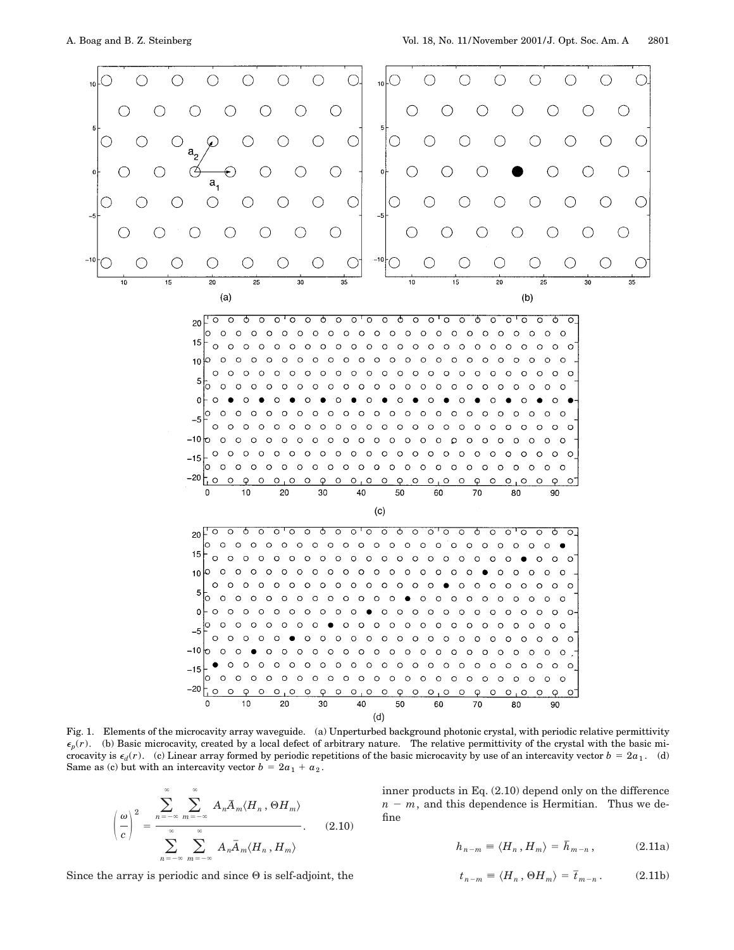

 $20\sqrt{10}$  $\overline{\circ}$ ক  $\overline{\circ}$   $\overline{\circ}$  $\overline{\circ}$   $\overline{\circ}$ ० ०  $\overline{\circ}$  $\overline{\circ}$ ৩ lo  $\circ$  $\circ$  $0$  0 0  $O$   $O$  $O$   $O$  $\circ$  $\circ$  $\circ$  $\circ$  $\circ$  $\circ$  $000000000$ 15  $\circ$  $\circ$  $0 0 0 0 0 0 0 0 0$  $\circ$  $\circ$  $\circ$  $\circ\,\circ\,\circ\,\circ\,\circ\,\circ\,\circ\,\circ\,\circ\,\circ$  $10$ lo  $\circ$  $\circ$  $0 0 0 0 0 0 0 0$  $\circ$  $\circ$  $\circ$  $\circ$  $\begin{array}{ccccccccccccccccc} \circ & \circ & \circ & \circ & \circ & \circ \end{array}$  $\circ$  $O$   $O$   $O$  $\circ$  $\circ$  $\circ$  $\circ$  $O$   $O$   $O$  $\circ$  $\circ$  $\circ$  $\circ$  $\circ$  $\circ$  $0$  0 0 0  $\circ$  $\circ$  $\circ$  $\circ$  $0<sub>0</sub>$ 5  $\Omega$  $\Omega$  $\Omega$  $\circ$  $\overline{O}$  $\circ$  $\circ$  $\circ$  $\circ$  $\Omega$  $\circ$  $\circ$  $\circ$  $0$  0 0  $\circ$  $\circ$  $\circ$  $O$   $O$  $\Omega$  $\Omega$  $\circ$  $\circ$  $\Omega$  $\Omega$  $\Omega$  $\circ$  $\Omega$  $\Omega$  $\Omega$  $\bullet$  $\Omega$  $\Omega$  $0$  0 0  $\Omega$  $\circ$  $\circ$  $\Omega$  $\circ$  $\Omega$  $\Omega$  $\circ$  $\circ$  $\circ$  $\circ$  $\circ$  $\circ$  $\circ$  $\circ$ Ċ  $\Omega$  $\Omega$  $-5$  $\circ$  $\circ$  $\circ$  $O$   $O$  $\circ$  $\circ$  $\circ$  $\circ$  $\circ$  $\circ$  $\circ$  $\circ$  $\circ$  $\circ$  $\circ$  $\circ$  $\circ$  $\circ$  $\circ$  $\circ$  $\circ$  $-10$  $\circ$  $\circ$  $\circ$  $\circ$  $\circ$  $\circ$  $\circ$  $\circ \circ \circ \circ \circ$  $\circ$  $O$   $O$ Ó  $\circ$  $\circ$  $\circ$  $\circ$  $\circ$  $\circ$  $\circ$  $\circ$  $\begin{array}{cccccccccccccc} \circ & \circ & \circ & \circ & \circ \end{array}$  $\circ$  $0 0 0 0 0 0 0 0$  $\circ$  $\circ$  $\circ$  $\circ$  $\circ$  $\circ$  $O$   $O$   $O$  $\circ$  $-15$  $\begin{array}{cccccccccccccc} \circ & \circ & \circ & \circ & \circ & \circ \end{array}$  $0 0 0 0 0 0$  $\Omega$  $\circ$  $\circ$  $\circ$  $\circ$  $0 0 0 0 0 0$  $O$   $O$  $-20$ h o  $\circ$  $\varphi$  $\circ$  $O<sub>1</sub>O$  $\circ$  $\varphi$  $\circ$  $\circ$ ,  $\circ$  $\circ$  $\overline{Q}$  $\circ$  $O<sub>1</sub>O$  $\circ$  $\varphi$  $0 \quad 0 \quad 0$  $\circ$  $\varphi$  $\circ$ <sup>-</sup>  $10$ 20 30  $40$ 50 0 60 70 80 90  $(c)$ 

 $\overline{\circ}$  $\overline{\circ}$ ক  $\overline{\circ}$  $\overline{\circ}$   $\overline{\circ}$  $\overline{\circ}$ ক  $\circ$   $\circ$   $\circ$  $\overline{\circ}$ ক  $\overline{\circ}$ 00000000 ক  $\overline{\circ}$ 20  $0\ \, 0\ \, 0\ \, 0\ \, 0\ \, 0\ \, 0\ \, 0\ \, 0\ \, 0\ \, 0\ \, 0\ \, 0\ \, 0\ \, 0\ \, 0\ \, 0$  $\circ$  $\circ$   $\bullet$  $\Omega$  $\Omega$ 15  $\Omega$  $\Omega$  $\circ$  $\circ \circ \circ \circ \circ \circ$  $\circ$  $\circ$  $\circ$  $00000000$  $0 \quad 0 \quad 0$  $\Omega$  $\Omega$ Q  $\circ$  $\circ \circ \circ \circ \circ \circ \circ \circ$  $\circ$  $\circ$  $\circ$  $\circ$  $00000$  $\circ$  $\circ$  $O$  O 10  $\Omega$  $\circ$  $\circ$  $\circ$  $\circ$  $O$   $O$  $\circ$  $\circ$  $0\quad 0\quad 0\quad 0\quad 0\quad 0\quad 0$  $\circ$   $\circ$  $\circ$  $\circ$  $\circ$  $\circ$  $\circ$  $\circ$ 5  $\bar{\circ}$  $\circ$  $\circ$  $\circ$  $\circ$  $\circ$  $\circ$  $\circ$  $\circ$  $\circ$  $\circ$  $\bullet$  $\begin{array}{cccccccccccccc} \circ & \circ & \circ & \circ & \circ & \circ & \circ & \circ \end{array}$  $O$   $O$  $\circ$  $\circ$  $\circ$  $\circ$  $\circ$  $0000000000$  $\Omega$  $\Omega$  $\circ$  $\circ$  $\circ$  $\circ$  $\circ$  $\circ$  $\Omega$  $\bullet$  $O$   $O$   $O$  $\circ$  $\circ$  $O$   $O$  $\circ$  $0 0 0 0 0 0 0 0 0 0 0 0 0$  $\Omega$  $\Omega$  $\Omega$  $\circ$  $\bullet$  $O$   $O$  $-5$  $\Omega$  $\Omega$  $\Omega$  $\circ$  $\circ$  $\begin{array}{cccccccccccccc} \circ & \circ & \circ & \circ & \circ & \circ \end{array}$  $\circ$  $0 0 0 0 0 0 0 0 0$  $\circ$  $O$   $O$  $\bullet$  $-10$  $\circ\hspace{0.1cm} \circ\hspace{0.1cm}\circ\hspace{0.1cm}\circ\hspace{0.1cm}\circ$  $\circ$  $\circ$  $\begin{array}{cccccccccccccc} \circ & \circ & \circ & \circ & \circ & \circ & \circ & \circ \end{array}$ Ó  $\circ$  $\circ$  $\circ$  $\circ$  $O$   $O$  $\circ$  $\circ$  $0$  0 0  $\circ$  $\circ$  $\circ$  $0000000000$  $\circ$  $\circ$  $\circ$  $\circ$  $\circ$  $-15$  $\Omega$  $\circ$  $\circ$  $\circ$  $\circ$  $\circ$  $\circ$  $000$  $\circ$  $000$  $\begin{array}{ccccccccccccccccc} \circ & \circ & \circ & \circ & \circ & \circ \end{array}$  $\circ$  $\Omega$  $\Omega$  $\Omega$  $\Omega$  $-20$  $\circ$  $\Omega$  $\circ$  $\Omega$  $\Omega$  $\circ$  $\Omega$  $Q$   $Q$   $Q$   $Q$  $\circ$  $\overline{\varphi}$  $\circ$  $0,0$  $\circ$  $\varphi$  $\circ$  $O<sub>1</sub>O$  $\circ$  $\overline{Q}$  $\circ$  $70$  $\Omega$  $10$  $20$ 30 40 50 60 80 90  $(d)$ 

Fig. 1. Elements of the microcavity array waveguide. (a) Unperturbed background photonic crystal, with periodic relative permittivity  $\epsilon_p(r)$ . (b) Basic microcavity, created by a local defect of arbitrary nature. The relative permittivity of the crystal with the basic microcavity is  $\epsilon_d(r)$ . (c) Linear array formed by periodic repetitions of the basic microcavity by use of an intercavity vector  $b = 2a_1$ . (d) Same as (c) but with an intercavity vector  $b = 2a_1 + a_2$ .

$$
\left(\frac{\omega}{c}\right)^2 = \frac{\sum_{n=-\infty}^{\infty} \sum_{m=-\infty}^{\infty} A_n \overline{A}_m \langle H_n, \Theta H_m \rangle}{\sum_{n=-\infty}^{\infty} \sum_{m=-\infty}^{\infty} A_n \overline{A}_m \langle H_n, H_m \rangle}.
$$
 (2.10)

Since the array is periodic and since  $\Theta$  is self-adjoint, the

 $\infty$ 

inner products in Eq. (2.10) depend only on the difference  $n - m$ , and this dependence is Hermitian. Thus we define

$$
h_{n-m} \equiv \langle H_n, H_m \rangle = \bar{h}_{m-n}, \quad (2.11a)
$$

$$
t_{n-m} \equiv \langle H_n, \Theta H_m \rangle = \overline{t}_{m-n} \,. \tag{2.11b}
$$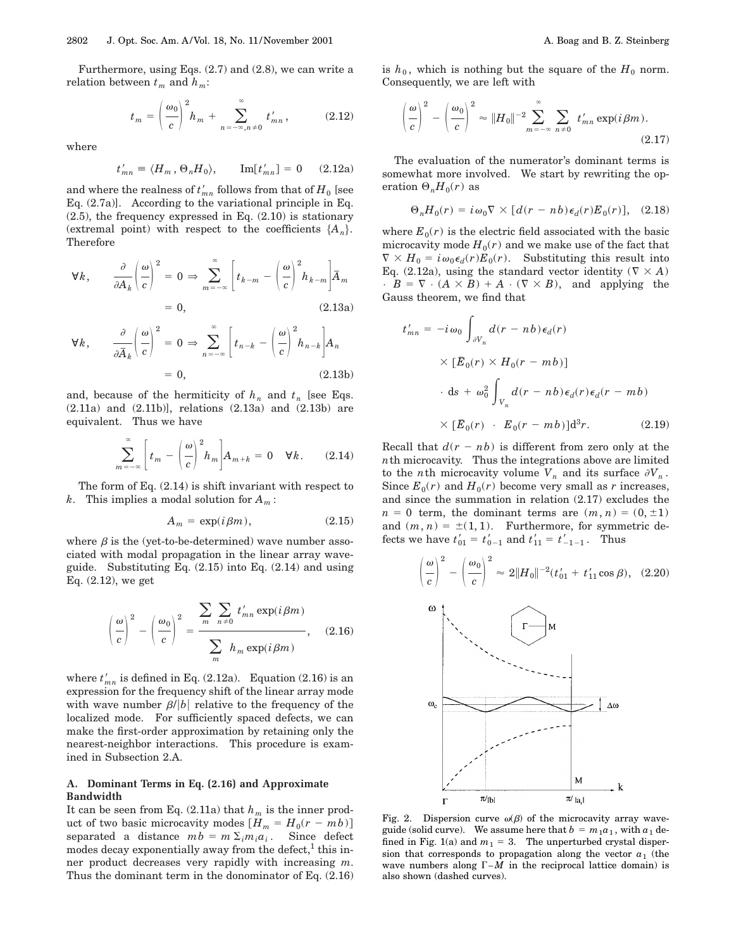Furthermore, using Eqs. (2.7) and (2.8), we can write a relation between  $t_m$  and  $h_m$ :

$$
t_m = \left(\frac{\omega_0}{c}\right)^2 h_m + \sum_{n=-\infty, n\neq 0}^{\infty} t'_{mn}, \qquad (2.12)
$$

where

$$
t'_{mn} \equiv \langle H_m, \Theta_n H_0 \rangle, \qquad \text{Im}[t'_{mn}] = 0 \qquad (2.12a)
$$

and where the realness of  $t'_{mn}$  follows from that of  $H_0$  [see Eq. (2.7a)]. According to the variational principle in Eq. (2.5), the frequency expressed in Eq. (2.10) is stationary (extremal point) with respect to the coefficients  ${A_n}$ . Therefore

$$
\forall k, \qquad \frac{\partial}{\partial A_k} \left( \frac{\omega}{c} \right)^2 = 0 \Rightarrow \sum_{m = -\infty}^{\infty} \left[ t_{k-m} - \left( \frac{\omega}{c} \right)^2 h_{k-m} \right] \overline{A}_m
$$

$$
= 0, \qquad (2.13a)
$$

$$
\forall k, \qquad \frac{\partial}{\partial \bar{A}_k} \left( \frac{\omega}{c} \right)^2 = 0 \Rightarrow \sum_{n=-\infty}^{\infty} \left[ t_{n-k} - \left( \frac{\omega}{c} \right)^2 h_{n-k} \right] A_n
$$

$$
= 0, \qquad (2.13b)
$$

and, because of the hermiticity of  $h_n$  and  $t_n$  [see Eqs. (2.11a) and (2.11b)], relations (2.13a) and (2.13b) are equivalent. Thus we have

$$
\sum_{m=-\infty}^{\infty} \left[ t_m - \left( \frac{\omega}{c} \right)^2 h_m \right] A_{m+k} = 0 \quad \forall k. \tag{2.14}
$$

The form of Eq.  $(2.14)$  is shift invariant with respect to *k*. This implies a modal solution for *Am* :

$$
A_m = \exp(i\beta m), \qquad (2.15)
$$

where  $\beta$  is the (yet-to-be-determined) wave number associated with modal propagation in the linear array waveguide. Substituting Eq. (2.15) into Eq. (2.14) and using Eq. (2.12), we get

$$
\left(\frac{\omega}{c}\right)^2 - \left(\frac{\omega_0}{c}\right)^2 = \frac{\sum_{m} \sum_{n \neq 0} t'_{mn} \exp(i\beta m)}{\sum_{m} h_m \exp(i\beta m)},
$$
 (2.16)

where  $t'_{mn}$  is defined in Eq. (2.12a). Equation (2.16) is an expression for the frequency shift of the linear array mode with wave number  $\beta/|b|$  relative to the frequency of the localized mode. For sufficiently spaced defects, we can make the first-order approximation by retaining only the nearest-neighbor interactions. This procedure is examined in Subsection 2.A.

### **A. Dominant Terms in Eq. (2.16) and Approximate Bandwidth**

It can be seen from Eq.  $(2.11a)$  that  $h_m$  is the inner product of two basic microcavity modes  $[H_m = H_0(r - mb)]$ separated a distance  $mb = m \sum_i m_i a_i$ . Since defect modes decay exponentially away from the defect, $<sup>1</sup>$  this in-</sup> ner product decreases very rapidly with increasing *m*. Thus the dominant term in the donominator of Eq. (2.16) is  $h_0$ , which is nothing but the square of the  $H_0$  norm. Consequently, we are left with

$$
\left(\frac{\omega}{c}\right)^2 - \left(\frac{\omega_0}{c}\right)^2 \approx \|H_0\|^{-2} \sum_{m=-\infty}^{\infty} \sum_{n\neq 0} t'_{mn} \exp(i\beta m).
$$
\n(2.17)

The evaluation of the numerator's dominant terms is somewhat more involved. We start by rewriting the operation  $\Theta_n H_0(r)$  as

$$
\Theta_n H_0(r) = i\omega_0 \nabla \times [d(r - nb)\epsilon_d(r)E_0(r)], \quad (2.18)
$$

where  $E_0(r)$  is the electric field associated with the basic microcavity mode  $H_0(r)$  and we make use of the fact that  $\nabla \times H_0 = i\omega_0 \epsilon_d(r) E_0(r)$ . Substituting this result into Eq. (2.12a), using the standard vector identity ( $\nabla \times A$ )  $\cdot$  *B* =  $\nabla$  · (*A*  $\times$  *B*) + *A* · ( $\nabla$   $\times$  *B*), and applying the Gauss theorem, we find that

$$
t'_{mn} = -i\omega_0 \int_{\partial V_n} d(r - nb) \epsilon_d(r)
$$
  
 
$$
\times [\bar{E}_0(r) \times H_0(r - mb)]
$$
  
 
$$
\cdot ds + \omega_0^2 \int_{V_n} d(r - nb) \epsilon_d(r) \epsilon_d(r - mb)
$$
  
 
$$
\times [\bar{E}_0(r) \cdot E_0(r - mb)]d^3r.
$$
 (2.19)

Recall that  $d(r - nb)$  is different from zero only at the *n*th microcavity. Thus the integrations above are limited to the *n*th microcavity volume  $V_n$  and its surface  $\partial V_n$ . Since  $E_0(r)$  and  $H_0(r)$  become very small as *r* increases, and since the summation in relation (2.17) excludes the  $n = 0$  term, the dominant terms are  $(m, n) = (0, \pm 1)$ and  $(m, n) = \pm (1, 1)$ . Furthermore, for symmetric defects we have  $t'_{01} = t'_{0-1}$  and  $t'_{11} = t'_{-1-1}$ . Thus

$$
\left(\frac{\omega}{c}\right)^2 - \left(\frac{\omega_0}{c}\right)^2 \approx 2\|H_0\|^{-2} (t'_{01} + t'_{11}\cos\beta), \quad (2.20)
$$



Fig. 2. Dispersion curve  $\omega(\beta)$  of the microcavity array waveguide (solid curve). We assume here that  $b = m_1 a_1$ , with  $a_1$  defined in Fig. 1(a) and  $m_1 = 3$ . The unperturbed crystal dispersion that corresponds to propagation along the vector  $a_1$  (the wave numbers along  $\Gamma$ – $\overline{M}$  in the reciprocal lattice domain) is also shown (dashed curves).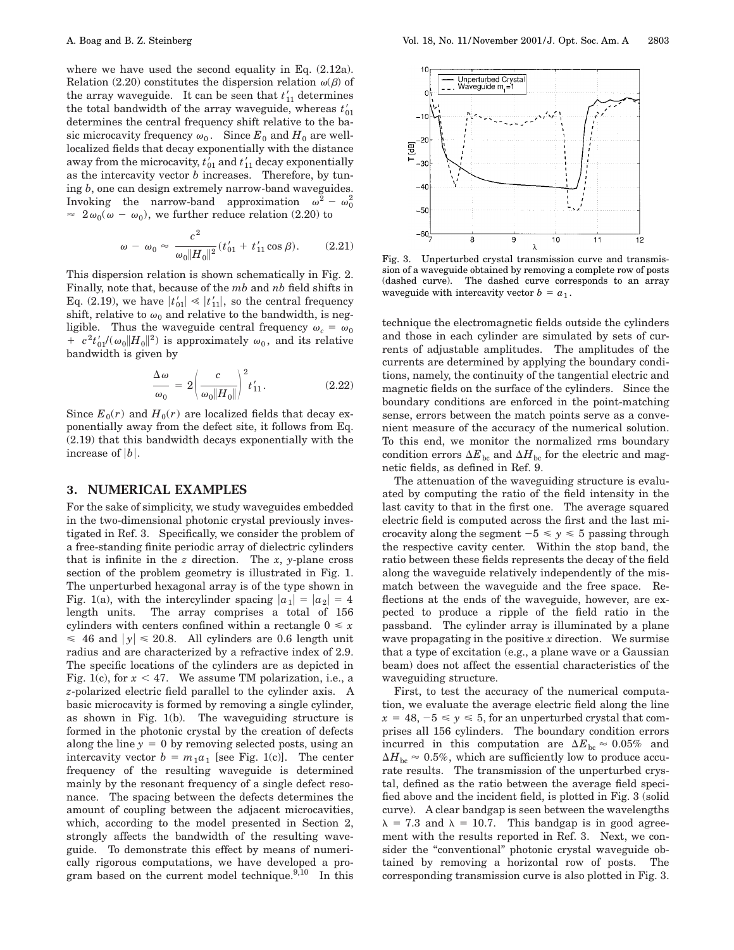where we have used the second equality in Eq. (2.12a). Relation (2.20) constitutes the dispersion relation  $\omega(\beta)$  of the array waveguide. It can be seen that  $t'_{11}$  determines the total bandwidth of the array waveguide, whereas  $t'_{01}$ determines the central frequency shift relative to the basic microcavity frequency  $\omega_0$ . Since  $E_0$  and  $H_0$  are welllocalized fields that decay exponentially with the distance away from the microcavity,  $t_{01}$  and  $t_{11}$  decay exponentially as the intercavity vector *b* increases. Therefore, by tuning *b*, one can design extremely narrow-band waveguides. Invoking the narrow-band approximation  $\omega^2 - \omega_0^2$  $\approx 2\omega_0(\omega - \omega_0)$ , we further reduce relation (2.20) to

$$
\omega - \omega_0 \approx \frac{c^2}{\omega_0 \|H_0\|^2} (t'_{01} + t'_{11} \cos \beta). \tag{2.21}
$$

This dispersion relation is shown schematically in Fig. 2. Finally, note that, because of the *mb* and *nb* field shifts in Eq. (2.19), we have  $|t'_{01}| \ll |t'_{11}|$ , so the central frequency shift, relative to  $\omega_0$  and relative to the bandwidth, is negligible. Thus the waveguide central frequency  $\omega_c = \omega_0$  $+ c^2 t'_{01} / (\omega_0 ||H_0||^2)$  is approximately  $\omega_0$ , and its relative bandwidth is given by

$$
\frac{\Delta \omega}{\omega_0} = 2 \left( \frac{c}{\omega_0 \|H_0\|} \right)^2 t'_{11}.
$$
\n(2.22)

Since  $E_0(r)$  and  $H_0(r)$  are localized fields that decay exponentially away from the defect site, it follows from Eq. (2.19) that this bandwidth decays exponentially with the increase of  $|b|$ .

#### **3. NUMERICAL EXAMPLES**

For the sake of simplicity, we study waveguides embedded in the two-dimensional photonic crystal previously investigated in Ref. 3. Specifically, we consider the problem of a free-standing finite periodic array of dielectric cylinders that is infinite in the *z* direction. The *x*, *y*-plane cross section of the problem geometry is illustrated in Fig. 1. The unperturbed hexagonal array is of the type shown in Fig. 1(a), with the intercylinder spacing  $|a_1| = |a_2| = 4$ length units. The array comprises a total of 156 cylinders with centers confined within a rectangle  $0 \leq x$  $\leq 46$  and  $|y| \leq 20.8$ . All cylinders are 0.6 length unit radius and are characterized by a refractive index of 2.9. The specific locations of the cylinders are as depicted in Fig. 1(c), for  $x < 47$ . We assume TM polarization, i.e., a *z*-polarized electric field parallel to the cylinder axis. A basic microcavity is formed by removing a single cylinder, as shown in Fig. 1(b). The waveguiding structure is formed in the photonic crystal by the creation of defects along the line  $y = 0$  by removing selected posts, using an intercavity vector  $b = m_1 a_1$  [see Fig. 1(c)]. The center frequency of the resulting waveguide is determined mainly by the resonant frequency of a single defect resonance. The spacing between the defects determines the amount of coupling between the adjacent microcavities, which, according to the model presented in Section 2, strongly affects the bandwidth of the resulting waveguide. To demonstrate this effect by means of numerically rigorous computations, we have developed a program based on the current model technique. $9,10$  In this



Fig. 3. Unperturbed crystal transmission curve and transmission of a waveguide obtained by removing a complete row of posts (dashed curve). The dashed curve corresponds to an array waveguide with intercavity vector  $b = a_1$ .

technique the electromagnetic fields outside the cylinders and those in each cylinder are simulated by sets of currents of adjustable amplitudes. The amplitudes of the currents are determined by applying the boundary conditions, namely, the continuity of the tangential electric and magnetic fields on the surface of the cylinders. Since the boundary conditions are enforced in the point-matching sense, errors between the match points serve as a convenient measure of the accuracy of the numerical solution. To this end, we monitor the normalized rms boundary condition errors  $\Delta E_{bc}$  and  $\Delta H_{bc}$  for the electric and magnetic fields, as defined in Ref. 9.

The attenuation of the waveguiding structure is evaluated by computing the ratio of the field intensity in the last cavity to that in the first one. The average squared electric field is computed across the first and the last microcavity along the segment  $-5 \le y \le 5$  passing through the respective cavity center. Within the stop band, the ratio between these fields represents the decay of the field along the waveguide relatively independently of the mismatch between the waveguide and the free space. Reflections at the ends of the waveguide, however, are expected to produce a ripple of the field ratio in the passband. The cylinder array is illuminated by a plane wave propagating in the positive *x* direction. We surmise that a type of excitation (e.g., a plane wave or a Gaussian beam) does not affect the essential characteristics of the waveguiding structure.

First, to test the accuracy of the numerical computation, we evaluate the average electric field along the line  $x = 48, -5 \le y \le 5$ , for an unperturbed crystal that comprises all 156 cylinders. The boundary condition errors incurred in this computation are  $\Delta E_{bc} \approx 0.05\%$  and  $\Delta H_{\text{bc}} \approx 0.5\%$ , which are sufficiently low to produce accurate results. The transmission of the unperturbed crystal, defined as the ratio between the average field specified above and the incident field, is plotted in Fig. 3 (solid curve). A clear bandgap is seen between the wavelengths  $\lambda = 7.3$  and  $\lambda = 10.7$ . This bandgap is in good agreement with the results reported in Ref. 3. Next, we consider the "conventional" photonic crystal waveguide obtained by removing a horizontal row of posts. The corresponding transmission curve is also plotted in Fig. 3.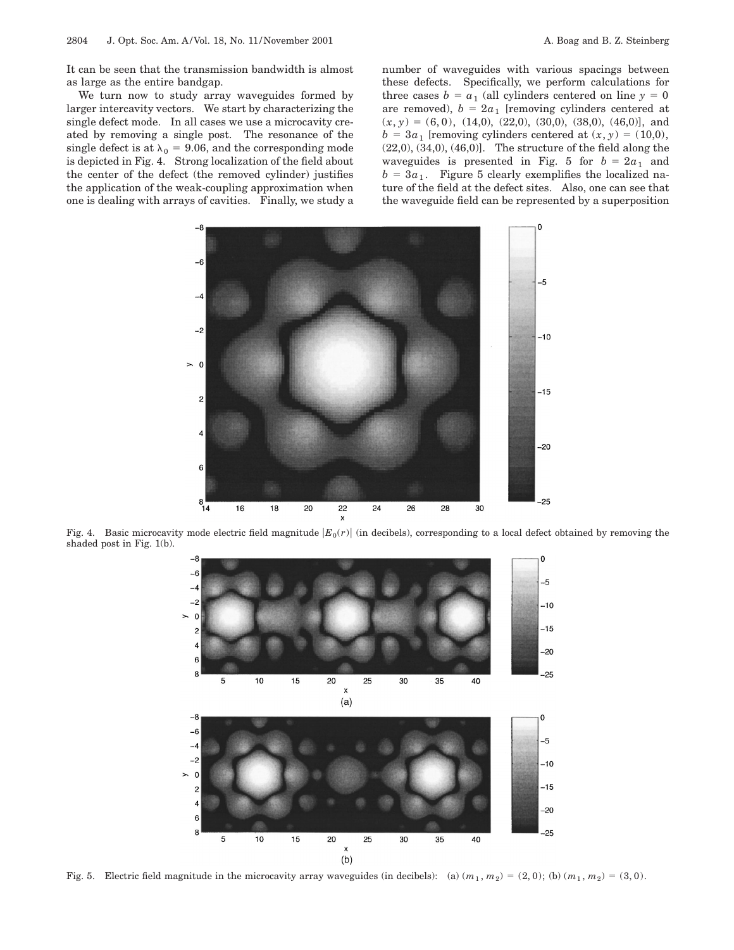It can be seen that the transmission bandwidth is almost as large as the entire bandgap.

We turn now to study array waveguides formed by larger intercavity vectors. We start by characterizing the single defect mode. In all cases we use a microcavity created by removing a single post. The resonance of the single defect is at  $\lambda_0 = 9.06$ , and the corresponding mode is depicted in Fig. 4. Strong localization of the field about the center of the defect (the removed cylinder) justifies the application of the weak-coupling approximation when one is dealing with arrays of cavities. Finally, we study a number of waveguides with various spacings between these defects. Specifically, we perform calculations for three cases  $b = a_1$  (all cylinders centered on line  $y = 0$ are removed),  $b = 2a_1$  [removing cylinders centered at  $(x, y) = (6, 0), (14, 0), (22, 0), (30, 0), (38, 0), (46, 0)$ , and  $b = 3a_1$  [removing cylinders centered at  $(x, y) = (10,0)$ ,  $(22,0), (34,0), (46,0)$ . The structure of the field along the waveguides is presented in Fig. 5 for  $b = 2a_1$  and  $b = 3a_1$ . Figure 5 clearly exemplifies the localized nature of the field at the defect sites. Also, one can see that the waveguide field can be represented by a superposition



Fig. 4. Basic microcavity mode electric field magnitude  $|E_0(r)|$  (in decibels), corresponding to a local defect obtained by removing the shaded post in Fig. 1(b).



Fig. 5. Electric field magnitude in the microcavity array waveguides (in decibels): (a)  $(m_1, m_2) = (2, 0)$ ; (b)  $(m_1, m_2) = (3, 0)$ .